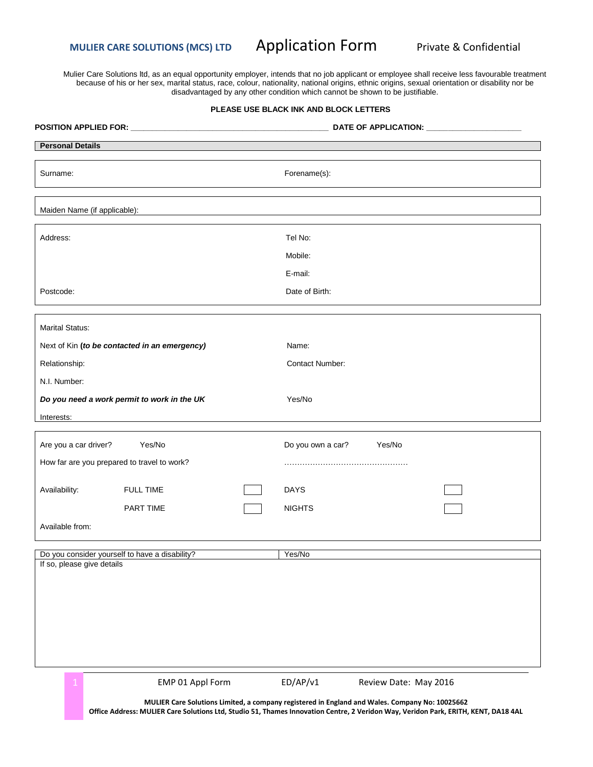**MULIER CARE SOLUTIONS (MCS) LTD Application Form Private & Confidential** 

Mulier Care Solutions ltd, as an equal opportunity employer, intends that no job applicant or employee shall receive less favourable treatment because of his or her sex, marital status, race, colour, nationality, national origins, ethnic origins, sexual orientation or disability nor be disadvantaged by any other condition which cannot be shown to be justifiable.

### **PLEASE USE BLACK INK AND BLOCK LETTERS**

| <b>Personal Details</b>                        |                                               |                        |        |
|------------------------------------------------|-----------------------------------------------|------------------------|--------|
| Surname:                                       |                                               | Forename(s):           |        |
| Maiden Name (if applicable):                   |                                               |                        |        |
| Address:                                       |                                               | Tel No:                |        |
|                                                |                                               | Mobile:                |        |
|                                                |                                               | E-mail:                |        |
| Postcode:                                      |                                               | Date of Birth:         |        |
| Marital Status:                                |                                               |                        |        |
|                                                | Next of Kin (to be contacted in an emergency) | Name:                  |        |
| Relationship:                                  |                                               | <b>Contact Number:</b> |        |
| N.I. Number:                                   |                                               |                        |        |
|                                                | Do you need a work permit to work in the UK   | Yes/No                 |        |
| Interests:                                     |                                               |                        |        |
| Are you a car driver?                          | Yes/No                                        | Do you own a car?      | Yes/No |
| How far are you prepared to travel to work?    |                                               |                        |        |
| Availability:                                  | <b>FULL TIME</b>                              | <b>DAYS</b>            |        |
|                                                | PART TIME                                     | <b>NIGHTS</b>          |        |
| Available from:                                |                                               |                        |        |
| Do you consider yourself to have a disability? |                                               | Yes/No                 |        |
| If so, please give details                     |                                               |                        |        |
|                                                |                                               |                        |        |
|                                                |                                               |                        |        |
|                                                |                                               |                        |        |
|                                                |                                               |                        |        |
|                                                |                                               |                        |        |

EMP 01 Appl Form ED/AP/v1 Review Date: May 2016

**MULIER Care Solutions Limited, a company registered in England and Wales. Company No: 10025662 Office Address: MULIER Care Solutions Ltd, Studio 51, Thames Innovation Centre, 2 Veridon Way, Veridon Park, ERITH, KENT, DA18 4AL**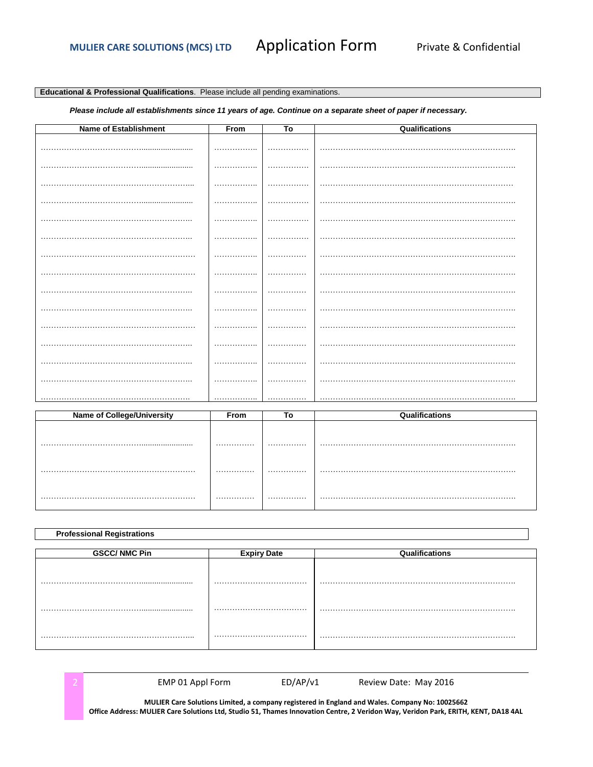# **Application Form**

# Educational & Professional Qualifications. Please include all pending examinations.

## Please include all establishments since 11 years of age. Continue on a separate sheet of paper if necessary.

| <b>Name of Establishment</b> | From         | To | Qualifications |
|------------------------------|--------------|----|----------------|
|                              | .            | .  |                |
| .                            | .            | .  |                |
|                              | .            | .  |                |
|                              | . <b>.</b> . | .  |                |
|                              |              |    |                |
|                              | .            | .  |                |
|                              | .            | .  |                |
|                              | .            |    |                |
|                              |              |    |                |
|                              |              |    |                |
|                              |              | .  |                |
|                              | .            |    |                |
| .                            | .            | .  |                |
|                              | .            |    |                |
|                              | .            | .  |                |

| <b>Name of College/University</b> | From | To | <b>Qualifications</b> |
|-----------------------------------|------|----|-----------------------|
|                                   |      |    |                       |
|                                   |      |    |                       |
|                                   | .    |    |                       |
|                                   |      |    |                       |
|                                   |      |    |                       |
|                                   |      |    |                       |
|                                   | .    |    |                       |
|                                   |      |    |                       |

| <b>Professional Registrations</b> |                    |                |  |  |
|-----------------------------------|--------------------|----------------|--|--|
| <b>GSCC/ NMC Pin</b>              | <b>Expiry Date</b> | Qualifications |  |  |
|                                   |                    |                |  |  |
|                                   |                    |                |  |  |
|                                   |                    |                |  |  |
|                                   |                    | .              |  |  |
|                                   |                    |                |  |  |
|                                   |                    |                |  |  |

MULIER Care Solutions Limited, a company registered in England and Wales. Company No: 10025662 Office Address: MULIER Care Solutions Ltd, Studio 51, Thames Innovation Centre, 2 Veridon Way, Veridon Park, ERITH, KENT, DA18 4AL

 $ED/AP/v1$ 

Review Date: May 2016

EMP 01 Appl Form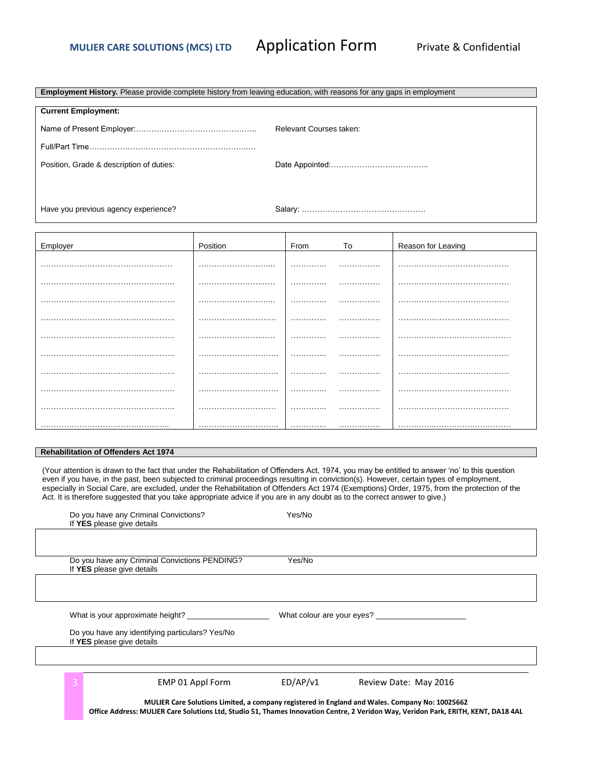**Employment History.** Please provide complete history from leaving education, with reasons for any gaps in employment

| <b>Current Employment:</b>               |                         |
|------------------------------------------|-------------------------|
|                                          | Relevant Courses taken: |
|                                          |                         |
| Position, Grade & description of duties: |                         |
|                                          |                         |
|                                          |                         |

Have you previous agency experience?

Salary: …………………………………………

| Employer | Position | From | To | Reason for Leaving |
|----------|----------|------|----|--------------------|
|          |          | .    | .  |                    |
| .        |          |      |    |                    |
|          |          | .    | .  |                    |
|          |          | .    | .  |                    |
|          |          | .    |    |                    |
|          |          | .    | .  |                    |
|          |          | .    |    |                    |
|          |          | .    |    |                    |
|          |          | .    | .  |                    |
|          |          | .    | .  |                    |

### **Rehabilitation of Offenders Act 1974**

(Your attention is drawn to the fact that under the Rehabilitation of Offenders Act, 1974, you may be entitled to answer 'no' to this question even if you have, in the past, been subjected to criminal proceedings resulting in conviction(s). However, certain types of employment, especially in Social Care, are excluded, under the Rehabilitation of Offenders Act 1974 (Exemptions) Order, 1975, from the protection of the Act. It is therefore suggested that you take appropriate advice if you are in any doubt as to the correct answer to give.)

| Do you have any Criminal Convictions?<br>If YES please give details                                                                                                                                                                  | Yes/No   |                            |
|--------------------------------------------------------------------------------------------------------------------------------------------------------------------------------------------------------------------------------------|----------|----------------------------|
|                                                                                                                                                                                                                                      |          |                            |
| Do you have any Criminal Convictions PENDING?<br>If YES please give details                                                                                                                                                          | Yes/No   |                            |
|                                                                                                                                                                                                                                      |          |                            |
| What is your approximate height?                                                                                                                                                                                                     |          | What colour are your eyes? |
| Do you have any identifying particulars? Yes/No<br>If YES please give details                                                                                                                                                        |          |                            |
|                                                                                                                                                                                                                                      |          |                            |
| EMP 01 Appl Form                                                                                                                                                                                                                     | ED/AP/v1 | Review Date: May 2016      |
| MULIER Care Solutions Limited, a company registered in England and Wales. Company No: 10025662<br>Office Address: MULIER Care Solutions Ltd, Studio 51, Thames Innovation Centre, 2 Veridon Way, Veridon Park, ERITH, KENT, DA18 4AL |          |                            |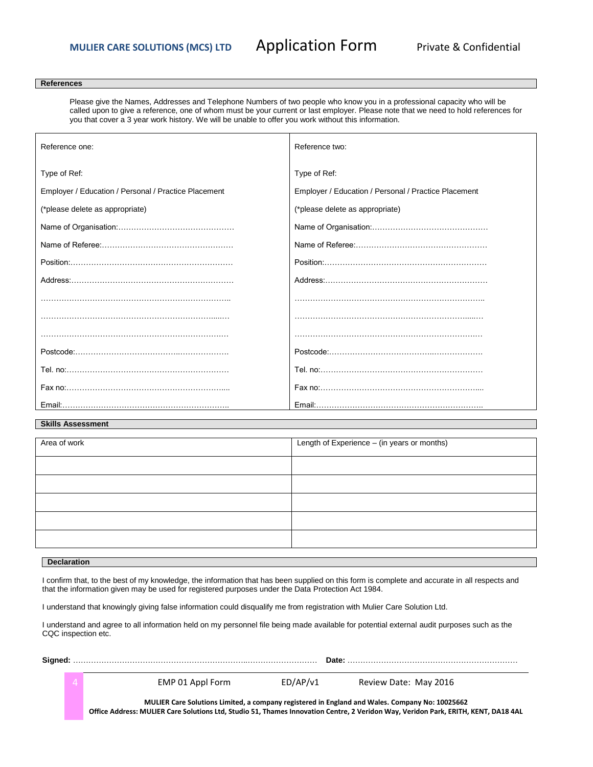# **MULIER CARE SOLUTIONS (MCS) LTD Application Form Private & Confidential**

### **References**

Please give the Names, Addresses and Telephone Numbers of two people who know you in a professional capacity who will be called upon to give a reference, one of whom must be your current or last employer. Please note that we need to hold references for you that cover a 3 year work history. We will be unable to offer you work without this information.

| Reference one:                                       | Reference two:                                       |
|------------------------------------------------------|------------------------------------------------------|
| Type of Ref:                                         | Type of Ref:                                         |
| Employer / Education / Personal / Practice Placement | Employer / Education / Personal / Practice Placement |
| (*please delete as appropriate)                      | (*please delete as appropriate)                      |
|                                                      |                                                      |
|                                                      |                                                      |
|                                                      |                                                      |
|                                                      |                                                      |
|                                                      |                                                      |
|                                                      |                                                      |
|                                                      |                                                      |
|                                                      |                                                      |
|                                                      |                                                      |
|                                                      |                                                      |
|                                                      |                                                      |

# **Skills Assessment**

| Area of work | Length of Experience - (in years or months) |
|--------------|---------------------------------------------|
|              |                                             |
|              |                                             |
|              |                                             |
|              |                                             |
|              |                                             |

### **Declaration**

I confirm that, to the best of my knowledge, the information that has been supplied on this form is complete and accurate in all respects and that the information given may be used for registered purposes under the Data Protection Act 1984.

I understand that knowingly giving false information could disqualify me from registration with Mulier Care Solution Ltd.

I understand and agree to all information held on my personnel file being made available for potential external audit purposes such as the CQC inspection etc.

| $\Delta$ | EMP 01 Appl Form                                                                                                                   | ED/AP/v1 | Review Date: May 2016                                                                          |  |
|----------|------------------------------------------------------------------------------------------------------------------------------------|----------|------------------------------------------------------------------------------------------------|--|
|          | Office Address: MULIER Care Solutions Ltd, Studio 51, Thames Innovation Centre, 2 Veridon Way, Veridon Park, ERITH, KENT, DA18 4AL |          | MULIER Care Solutions Limited, a company registered in England and Wales. Company No: 10025662 |  |